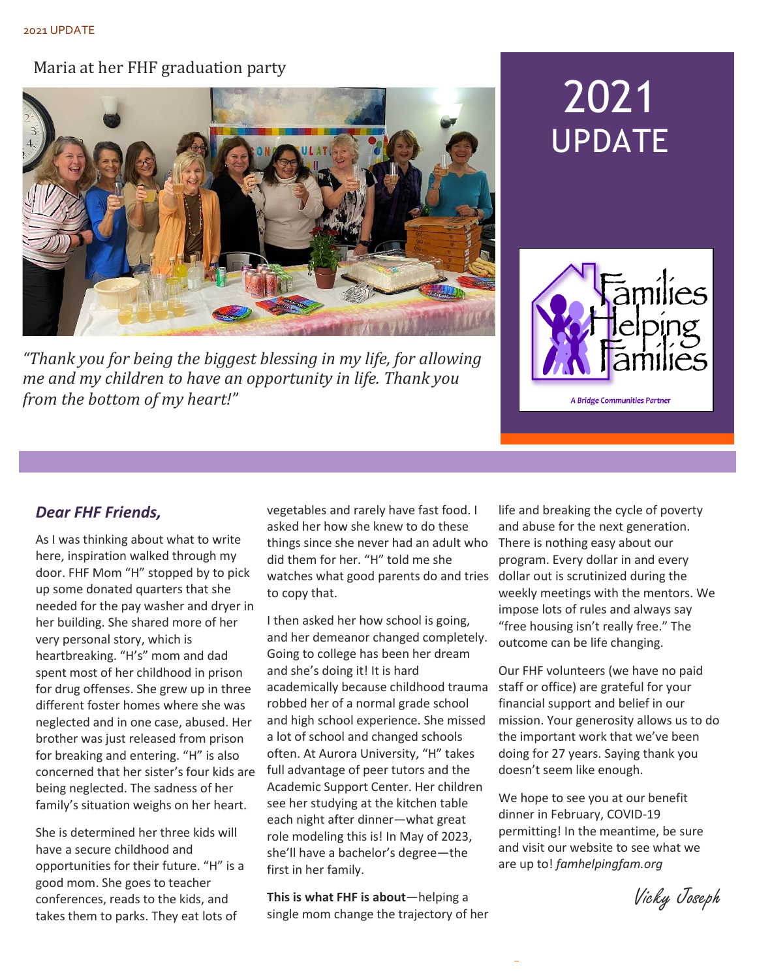#### Maria at her FHF graduation party



*"Thank you for being the biggest blessing in my life, for allowing me and my children to have an opportunity in life. Thank you from the bottom of my heart!"*

# 2021 UPDATE



A Bridge Communities Partner

#### *Dear FHF Friends,*

As I was thinking about what to write here, inspiration walked through my door. FHF Mom "H" stopped by to pick up some donated quarters that she needed for the pay washer and dryer in her building. She shared more of her very personal story, which is heartbreaking. "H's" mom and dad spent most of her childhood in prison for drug offenses. She grew up in three different foster homes where she was neglected and in one case, abused. Her brother was just released from prison for breaking and entering. "H" is also concerned that her sister's four kids are being neglected. The sadness of her family's situation weighs on her heart.

She is determined her three kids will have a secure childhood and opportunities for their future. "H" is a good mom. She goes to teacher conferences, reads to the kids, and takes them to parks. They eat lots of

vegetables and rarely have fast food. I asked her how she knew to do these things since she never had an adult who There is nothing easy about our did them for her. "H" told me she watches what good parents do and tries dollar out is scrutinized during the to copy that.

I then asked her how school is going, and her demeanor changed completely. Going to college has been her dream and she's doing it! It is hard academically because childhood trauma staff or office) are grateful for your robbed her of a normal grade school and high school experience. She missed a lot of school and changed schools often. At Aurora University, "H" takes full advantage of peer tutors and the Academic Support Center. Her children see her studying at the kitchen table each night after dinner—what great role modeling this is! In May of 2023, she'll have a bachelor's degree—the first in her family.

**This is what FHF is about**—helping a single mom change the trajectory of her life and breaking the cycle of poverty and abuse for the next generation. program. Every dollar in and every weekly meetings with the mentors. We impose lots of rules and always say "free housing isn't really free." The outcome can be life changing.

Our FHF volunteers (we have no paid financial support and belief in our mission. Your generosity allows us to do the important work that we've been doing for 27 years. Saying thank you doesn't seem like enough.

We hope to see you at our benefit dinner in February, COVID-19 permitting! In the meantime, be sure and visit our website to see what we are up to! *famhelpingfam.org*

Vicky Joseph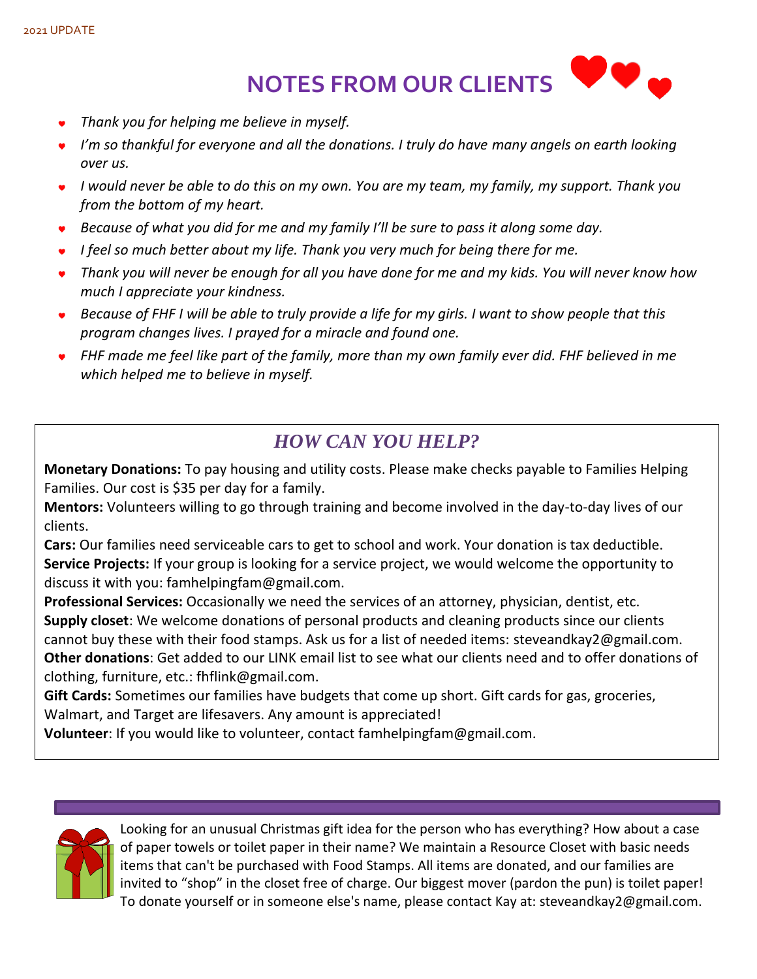#### 2021 UPDATE

 $\bullet$ **NOTES FROM OUR CLIENTS** 

- *Thank you for helping me believe in myself.*
- *I'm so thankful for everyone and all the donations. I truly do have many angels on earth looking over us.*
- *I would never be able to do this on my own. You are my team, my family, my support. Thank you from the bottom of my heart.*
- *Because of what you did for me and my family I'll be sure to pass it along some day.*
- *I feel so much better about my life. Thank you very much for being there for me.*
- *Thank you will never be enough for all you have done for me and my kids. You will never know how much I appreciate your kindness.*
- *Because of FHF I will be able to truly provide a life for my girls. I want to show people that this program changes lives. I prayed for a miracle and found one.*
- *FHF made me feel like part of the family, more than my own family ever did. FHF believed in me which helped me to believe in myself.*

## *HOW CAN YOU HELP?*

**Monetary Donations:** To pay housing and utility costs. Please make checks payable to Families Helping Families. Our cost is \$35 per day for a family.

**Mentors:** Volunteers willing to go through training and become involved in the day-to-day lives of our clients.

**Cars:** Our families need serviceable cars to get to school and work. Your donation is tax deductible. **Service Projects:** If your group is looking for a service project, we would welcome the opportunity to discuss it with you: famhelpingfam@gmail.com.

**Professional Services:** Occasionally we need the services of an attorney, physician, dentist, etc. **Supply closet**: We welcome donations of personal products and cleaning products since our clients cannot buy these with their food stamps. Ask us for a list of needed items: steveandkay2@gmail.com. **Other donations**: Get added to our LINK email list to see what our clients need and to offer donations of clothing, furniture, etc.: fhflink@gmail.com.

**Gift Cards:** Sometimes our families have budgets that come up short. Gift cards for gas, groceries, Walmart, and Target are lifesavers. Any amount is appreciated!

**Volunteer**: If you would like to volunteer, contact [famhelpingfam@gmail.com.](mailto:famhelpingfam@gmail.com)



Looking for an unusual Christmas gift idea for the person who has everything? How about a case of paper towels or toilet paper in their name? We maintain a Resource Closet with basic needs items that can't be purchased with Food Stamps. All items are donated, and our families are invited to "shop" in the closet free of charge. Our biggest mover (pardon the pun) is toilet paper! To donate yourself or in someone else's name, please contact Kay at: steveandkay2@gmail.com.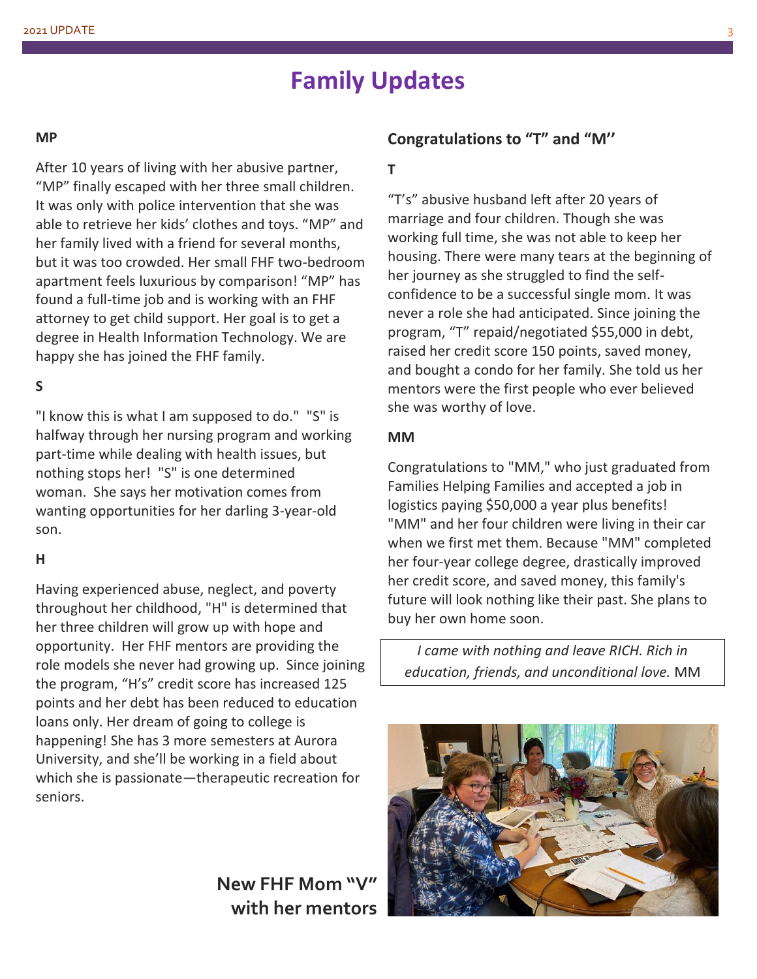# **Family Updates**

#### **MP**

After 10 years of living with her abusive partner, "MP" finally escaped with her three small children. It was only with police intervention that she was able to retrieve her kids' clothes and toys. "MP" and her family lived with a friend for several months, but it was too crowded. Her small FHF two-bedroom apartment feels luxurious by comparison! "MP" has found a full-time job and is working with an FHF attorney to get child support. Her goal is to get a degree in Health Information Technology. We are happy she has joined the FHF family.

#### **S**

"I know this is what I am supposed to do." "S" is halfway through her nursing program and working part-time while dealing with health issues, but nothing stops her! "S" is one determined woman. She says her motivation comes from wanting opportunities for her darling 3-year-old son.

#### **H**

Having experienced abuse, neglect, and poverty throughout her childhood, "H" is determined that her three children will grow up with hope and opportunity. Her FHF mentors are providing the role models she never had growing up. Since joining the program, "H's" credit score has increased 125 points and her debt has been reduced to education loans only. Her dream of going to college is happening! She has 3 more semesters at Aurora University, and she'll be working in a field about which she is passionate—therapeutic recreation for seniors.

**New FHF Mom "V" with her mentors**

#### **Congratulations to "T" and "M''**

#### **T**

"T's" abusive husband left after 20 years of marriage and four children. Though she was working full time, she was not able to keep her housing. There were many tears at the beginning of her journey as she struggled to find the selfconfidence to be a successful single mom. It was never a role she had anticipated. Since joining the program, "T" repaid/negotiated \$55,000 in debt, raised her credit score 150 points, saved money, and bought a condo for her family. She told us her mentors were the first people who ever believed she was worthy of love.

#### **MM**

Congratulations to "MM," who just graduated from Families Helping Families and accepted a job in logistics paying \$50,000 a year plus benefits! "MM" and her four children were living in their car when we first met them. Because "MM" completed her four-year college degree, drastically improved her credit score, and saved money, this family's future will look nothing like their past. She plans to buy her own home soon.

*I came with nothing and leave RICH. Rich in education, friends, and unconditional love.* MM